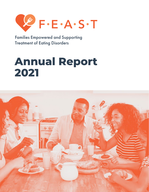

Families Empowered and Supporting Treatment of Eating Disorders

# **Annual Report 2021**

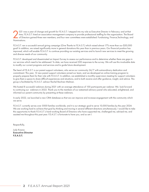021 was a year of change and growth for F.E.A.S.T. I stepped into my role as Executive Director in February; and at that<br>of Directors gained three new members, and four new committees were established: Fundraising, Finance time, F.E.A.S.T. hired an association management company to provide professional staffing for the organization. The Board Nominations.

F.E.A.S.T. ran a successful annual giving campaign (Give Thanks to F.E.A.S.T.) which raised almost 17% more than our \$30,000 goal! In addition, we raised significantly more in general donations this year than in previous years. Our financial position has improved, which will enable F.E.A.S.T. to continue providing our existing services and to launch new services to meet the growing and diverse needs of our community.

F.E.A.S.T. developed and disseminated an Impact Survey to assess our performance and to determine whether there are gaps in our services which need to be addressed. To date, we have received 300 responses to the survey. We will use this invaluable data to modify our current programs and services and to guide future development.

The heart of F.E.A.S.T. is our parent support volunteers, who serve our community 24/7 with extraordinary dedication and commitment. This year, 12 new parent support volunteers joined our team, and we developed an online training program to properly prepare them for their role with F.E.A.S.T. In addition, we established a monthly supervision meeting for support volunteers to give them a space to share difficult experiences and situations, and to both receive and offer guidance, insight, and advice. This group is facilitated by F.E.A.S.T. advisor Rachel Bachner-Melman.

We hosted 8 successful webinars during 2021 with an average attendance of 100 participants per webinar. We look forward to continuing our webinars in 2022. Thank you to the members of our esteemed advisory panel who educated, enlightened, and informed our parent community by presenting at these webinars.

In early 2022, we launched a new CRM database so that we can improve and increase engagement with the community which we serve.

F.E.A.S.T. currently serves over 5000 families worldwide, and it is our strategic goal to serve 10,000 families by the year 2024. We are working hard to achieve that goal by thinking and moving in several different directions simultaneously. I would like to take this opportunity to thank F.E.A.S.T.'s hard-working Board of Directors who have supported me, challenged me, advised me, and assisted me throughout this past year. F.E.A.S.T. is fortunate to have you, and so am I.

Respectfully,

Judy Krasna Executive Director F.E.A.S.T.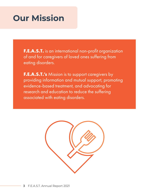## **Our Mission**

**F.E.A.S.T.** is an international non-profit organization of and for caregivers of loved ones suffering from eating disorders.

**F.E.A.S.T.'s** Mission is to support caregivers by providing information and mutual support, promoting evidence-based treatment, and advocating for research and education to reduce the suffering associated with eating disorders.

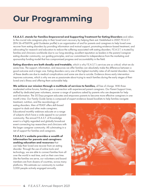## **Our Programming**

**F.E.A.S.T. stands for Families Empowered and Supporting Treatment for Eating Disorders** and refers to the crucial role caregivers play in their loved one's recovery by helping them eat. Established in 2007, F.E.A.S.T. (EIN 26-4706974; gold Guidestar profile) is an organization of and for parents and caregivers to help loved ones recover from eating disorders by providing information and mutual support, promoting evidence-based treatment, and advocating for research and education to reduce the suffering associated with eating disorders. F.E.A.S.T. is trusted by families and clinicians worldwide due to our long-standing, excellent reputation as leaders in the parent/caregiver eating disorder community, our guiding principles, and our commitment to independence from the marketing and sponsorship funding model that has compromised progress and accountability in the field.

**Eating disorders are both deadly and treatable**, which is why F.E.A.S.T.'s services are so critical; what we do saves lives. The support, information, and resources we offer families can absolutely make the difference between a good outcome and a tragic one. Eating disorders carry one of the highest mortality rates of all mental disorders. Some of these deaths are due to medical complications and some are due to suicide. Evidence shows early intervention improves outcomes, which is why we are so passionate about trying to reach families during the early stages of their loved one's illness and offering them actionable help.

**We achieve our mission through a multitude of services to families,** all free of charge. With three moderated online forums, families gain a connection with experienced parent caregivers. Our Parent Support Lines, staffed by dedicated peer volunteers, answer a range of questions asked by parents who are desperate for help and information. The 30 Days program educates and empowers parents to become more effective caregivers in one month's time. Our Family Guide Series is composed of expert evidence-based booklets to help families navigate

treatment, nutrition, and the neurobiology of eating disorders. Men of FEAST offers skill-based support to dads and other male caregivers. Educational monthly webinars educate on a range of subjects which have a wide appeal to our parent community. The annual F.E.A.S.T. of Knowledge event is a highly regarded and globally broadcast event connecting top researchers and clinicians with the larger caregiver community. All culminating in a net of support for families and caregivers.

**F.E.A.S.T.'s website provides a wealth of information for parents and caregivers seeking education and resources** that can help their loved one recover from an eating disorder. Through the use of online tools and technology, we are able to connect families from all over the world in real time, and on their own time. Like the families we serve, our volunteers and board members are from dozens of countries, across many platforms. We estimate our community to number 5,000 people actively engaged annually.

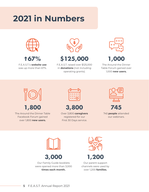# **2021 in Numbers**



**67%**

F.E.A.S.T.'s **website use** was up more than 67%.



F.E.A.S.T. raised over \$125,000 in **donations** (not including operating grants).



The Around the Dinner Table Forum gained over 1,000 **new users.**



The Around the Dinner Table Facebook Forum gained over 1,800 **new users.** 



**1,800 3,800 745**

Over 3,800 **caregivers** registered for our First 30 Days service.



745 **people** attended our webinars.





Our Family Guide booklets were opened more than 3,000 **times each month.**





Our parent support channels were used by over 1,200 **families.**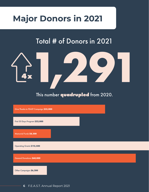## **Major Donors in 2021**

## Total # of Donors in 2021



This number **quadrupled** from 2020.

Give Thanks to FEAST Campaign **\$35,000**

First 30 Days Program **\$22,000**

Memorial Funds **\$8,500**

Operating Grants **\$113,500**

General Donations **\$60,000**

Other Campaigns **\$6,200**

**6** F.E.A.S.T. Annual Report 2021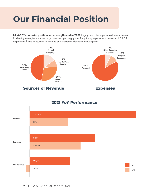# **Our Financial Position**

**F.E.A.S.T.'s financial position was strengthened in 2021** largely due to the implementation of successful fundraising strategies and three large one-time operating grants. The primary expense was personnel; F.E.A.S.T. employs a full time Executive Director and an Association Management Company.



### **2021 YoY Performance**